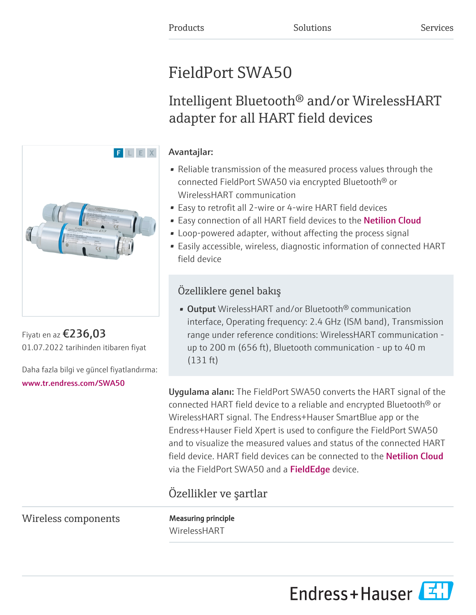# FieldPort SWA50

# Intelligent Bluetooth® and/or WirelessHART adapter for all HART field devices

### Avantajlar:

- Reliable transmission of the measured process values through the connected FieldPort SWA50 via encrypted Bluetooth® or WirelessHART communication
- Easy to retrofit all 2-wire or 4-wire HART field devices
- Easy connection of all HART field devices to the [Netilion Cloud](https://netilion.endress.com/)
- Loop-powered adapter, without affecting the process signal
- Easily accessible, wireless, diagnostic information of connected HART field device

### Özelliklere genel bakış

• Output WirelessHART and/or Bluetooth® communication interface, Operating frequency: 2.4 GHz (ISM band), Transmission range under reference conditions: WirelessHART communication up to 200 m (656 ft), Bluetooth communication - up to 40 m (131 ft)

Uygulama alanı: The FieldPort SWA50 converts the HART signal of the connected HART field device to a reliable and encrypted Bluetooth® or WirelessHART signal. The Endress+Hauser SmartBlue app or the Endress+Hauser Field Xpert is used to configure the FieldPort SWA50 and to visualize the measured values and status of the connected HART field device. HART field devices can be connected to the [Netilion Cloud](https://netilion.endress.com/) viathe FieldPort SWA50 and a FieldEdge device.

## Özellikler ve şartlar

Wireless components Measuring principle

WirelessHART





Fiyatı en az €236,03 01.07.2022 tarihinden itibaren fiyat

Daha fazla bilgi ve güncel fiyatlandırma: [www.tr.endress.com/SWA50](https://www.tr.endress.com/SWA50)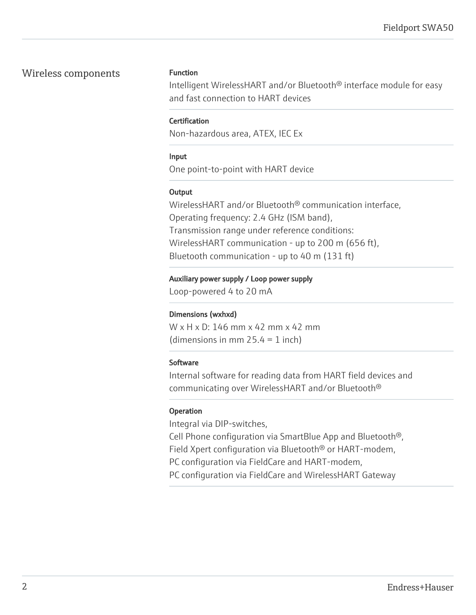#### Wireless components Function

Intelligent WirelessHART and/or Bluetooth® interface module for easy and fast connection to HART devices

#### **Certification**

Non-hazardous area, ATEX, IEC Ex

#### Input

One point-to-point with HART device

#### **Output**

WirelessHART and/or Bluetooth® communication interface, Operating frequency: 2.4 GHz (ISM band), Transmission range under reference conditions: WirelessHART communication - up to 200 m (656 ft), Bluetooth communication - up to 40 m (131 ft)

#### Auxiliary power supply / Loop power supply

Loop-powered 4 to 20 mA

#### Dimensions (wxhxd)

W x H x D: 146 mm x 42 mm x 42 mm (dimensions in mm  $25.4 = 1$  inch)

#### **Software**

Internal software for reading data from HART field devices and communicating over WirelessHART and/or Bluetooth®

#### Operation

Integral via DIP-switches,

Cell Phone configuration via SmartBlue App and Bluetooth®, Field Xpert configuration via Bluetooth® or HART-modem, PC configuration via FieldCare and HART-modem,

PC configuration via FieldCare and WirelessHART Gateway